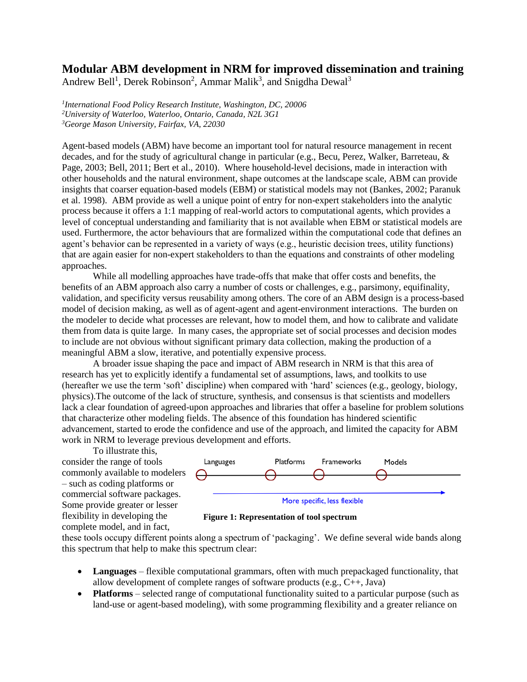## **Modular ABM development in NRM for improved dissemination and training**

Andrew Bell<sup>1</sup>, Derek Robinson<sup>2</sup>, Ammar Malik<sup>3</sup>, and Snigdha Dewal<sup>3</sup>

*1 International Food Policy Research Institute, Washington, DC, 20006 <sup>2</sup>University of Waterloo, Waterloo, Ontario, Canada, N2L 3G1 <sup>3</sup>George Mason University, Fairfax, VA, 22030*

Agent-based models (ABM) have become an important tool for natural resource management in recent decades, and for the study of agricultural change in particular (e.g., Becu, Perez, Walker, Barreteau, & Page, 2003; Bell, 2011; Bert et al., 2010). Where household-level decisions, made in interaction with other households and the natural environment, shape outcomes at the landscape scale, ABM can provide insights that coarser equation-based models (EBM) or statistical models may not (Bankes, 2002; Paranuk et al. 1998). ABM provide as well a unique point of entry for non-expert stakeholders into the analytic process because it offers a 1:1 mapping of real-world actors to computational agents, which provides a level of conceptual understanding and familiarity that is not available when EBM or statistical models are used. Furthermore, the actor behaviours that are formalized within the computational code that defines an agent's behavior can be represented in a variety of ways (e.g., heuristic decision trees, utility functions) that are again easier for non-expert stakeholders to than the equations and constraints of other modeling approaches.

While all modelling approaches have trade-offs that make that offer costs and benefits, the benefits of an ABM approach also carry a number of costs or challenges, e.g., parsimony, equifinality, validation, and specificity versus reusability among others. The core of an ABM design is a process-based model of decision making, as well as of agent-agent and agent-environment interactions. The burden on the modeler to decide what processes are relevant, how to model them, and how to calibrate and validate them from data is quite large. In many cases, the appropriate set of social processes and decision modes to include are not obvious without significant primary data collection, making the production of a meaningful ABM a slow, iterative, and potentially expensive process.

A broader issue shaping the pace and impact of ABM research in NRM is that this area of research has yet to explicitly identify a fundamental set of assumptions, laws, and toolkits to use (hereafter we use the term 'soft' discipline) when compared with 'hard' sciences (e.g., geology, biology, physics).The outcome of the lack of structure, synthesis, and consensus is that scientists and modellers lack a clear foundation of agreed-upon approaches and libraries that offer a baseline for problem solutions that characterize other modeling fields. The absence of this foundation has hindered scientific advancement, started to erode the confidence and use of the approach, and limited the capacity for ABM work in NRM to leverage previous development and efforts.

To illustrate this, consider the range of tools commonly available to modelers – such as coding platforms or commercial software packages. Some provide greater or lesser flexibility in developing the complete model, and in fact,



**Figure 1: Representation of tool spectrum**

these tools occupy different points along a spectrum of 'packaging'. We define several wide bands along this spectrum that help to make this spectrum clear:

- Languages flexible computational grammars, often with much prepackaged functionality, that allow development of complete ranges of software products (e.g., C++, Java)
- **Platforms** selected range of computational functionality suited to a particular purpose (such as land-use or agent-based modeling), with some programming flexibility and a greater reliance on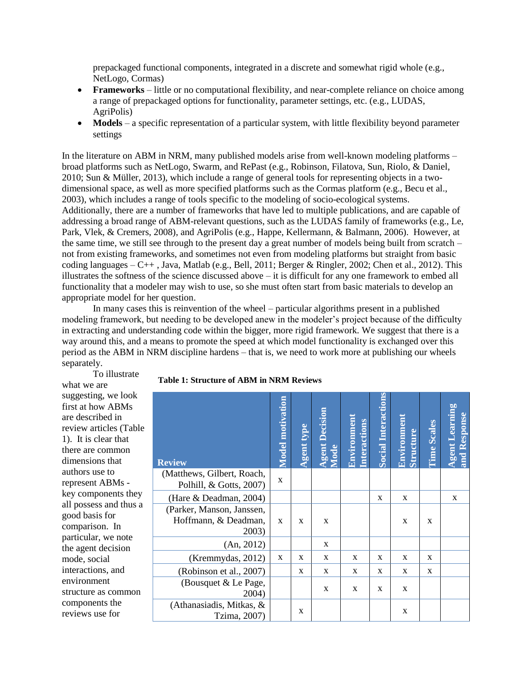prepackaged functional components, integrated in a discrete and somewhat rigid whole (e.g., NetLogo, Cormas)

- **Frameworks** little or no computational flexibility, and near-complete reliance on choice among a range of prepackaged options for functionality, parameter settings, etc. (e.g., LUDAS, AgriPolis)
- Models a specific representation of a particular system, with little flexibility beyond parameter settings

In the literature on ABM in NRM, many published models arise from well-known modeling platforms – broad platforms such as NetLogo, Swarm, and RePast (e.g., Robinson, Filatova, Sun, Riolo, & Daniel, 2010; Sun & Müller, 2013), which include a range of general tools for representing objects in a twodimensional space, as well as more specified platforms such as the Cormas platform (e.g., Becu et al., 2003), which includes a range of tools specific to the modeling of socio-ecological systems. Additionally, there are a number of frameworks that have led to multiple publications, and are capable of addressing a broad range of ABM-relevant questions, such as the LUDAS family of frameworks (e.g., Le, Park, Vlek, & Cremers, 2008), and AgriPolis (e.g., Happe, Kellermann, & Balmann, 2006). However, at the same time, we still see through to the present day a great number of models being built from scratch – not from existing frameworks, and sometimes not even from modeling platforms but straight from basic coding languages – C++ , Java, Matlab (e.g., Bell, 2011; Berger & Ringler, 2002; Chen et al., 2012). This illustrates the softness of the science discussed above  $-$  it is difficult for any one framework to embed all functionality that a modeler may wish to use, so she must often start from basic materials to develop an appropriate model for her question.

In many cases this is reinvention of the wheel – particular algorithms present in a published modeling framework, but needing to be developed anew in the modeler's project because of the difficulty in extracting and understanding code within the bigger, more rigid framework. We suggest that there is a way around this, and a means to promote the speed at which model functionality is exchanged over this period as the ABM in NRM discipline hardens – that is, we need to work more at publishing our wheels separately.

To illustrate what we are suggesting, we look first at how ABMs are described in review articles (Table 1). It is clear that there are common dimensions that authors use to represent ABMs key components they all possess and thus a good basis for comparison. In particular, we note the agent decision mode, social interactions, and environment structure as common components the reviews use for

| Table 1: Structure of ABM in NRM Reviews |  |  |  |
|------------------------------------------|--|--|--|
|------------------------------------------|--|--|--|

| <b>Review</b>                                              | <b>Model motivation</b> | <b>Agent type</b> | <b>Agent Decision</b><br>Mode | Environmen<br><b>Interactions</b> | <b>Social Interactions</b> | Environmen<br>Structure | <b>Time Scales</b> | <b>Agent Learning</b><br>and Response |
|------------------------------------------------------------|-------------------------|-------------------|-------------------------------|-----------------------------------|----------------------------|-------------------------|--------------------|---------------------------------------|
| (Matthews, Gilbert, Roach,<br>Polhill, & Gotts, 2007)      | $\mathbf{x}$            |                   |                               |                                   |                            |                         |                    |                                       |
| (Hare & Deadman, 2004)                                     |                         |                   |                               |                                   | X                          | X                       |                    | X                                     |
| (Parker, Manson, Janssen,<br>Hoffmann, & Deadman,<br>2003) | $\mathbf{x}$            | $\mathbf x$       | X                             |                                   |                            | X                       | X                  |                                       |
| (An, 2012)                                                 |                         |                   | X                             |                                   |                            |                         |                    |                                       |
| (Kremmydas, 2012)                                          | $\mathbf{x}$            | X                 | X                             | X                                 | X                          | X                       | X                  |                                       |
| (Robinson et al., 2007)                                    |                         | X                 | X                             | X                                 | X                          | X                       | X                  |                                       |
| (Bousquet & Le Page,<br>2004)                              |                         |                   | X                             | X                                 | X                          | X                       |                    |                                       |
| (Athanasiadis, Mitkas, $\&$<br>Tzima, 2007)                |                         | X                 |                               |                                   |                            | $\mathbf X$             |                    |                                       |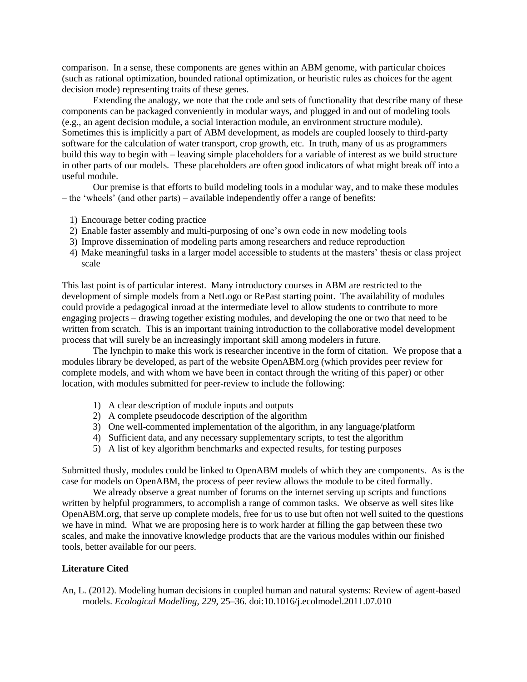comparison. In a sense, these components are genes within an ABM genome, with particular choices (such as rational optimization, bounded rational optimization, or heuristic rules as choices for the agent decision mode) representing traits of these genes.

Extending the analogy, we note that the code and sets of functionality that describe many of these components can be packaged conveniently in modular ways, and plugged in and out of modeling tools (e.g., an agent decision module, a social interaction module, an environment structure module). Sometimes this is implicitly a part of ABM development, as models are coupled loosely to third-party software for the calculation of water transport, crop growth, etc. In truth, many of us as programmers build this way to begin with – leaving simple placeholders for a variable of interest as we build structure in other parts of our models. These placeholders are often good indicators of what might break off into a useful module.

Our premise is that efforts to build modeling tools in a modular way, and to make these modules – the 'wheels' (and other parts) – available independently offer a range of benefits:

- 1) Encourage better coding practice
- 2) Enable faster assembly and multi-purposing of one's own code in new modeling tools
- 3) Improve dissemination of modeling parts among researchers and reduce reproduction
- 4) Make meaningful tasks in a larger model accessible to students at the masters' thesis or class project scale

This last point is of particular interest. Many introductory courses in ABM are restricted to the development of simple models from a NetLogo or RePast starting point. The availability of modules could provide a pedagogical inroad at the intermediate level to allow students to contribute to more engaging projects – drawing together existing modules, and developing the one or two that need to be written from scratch. This is an important training introduction to the collaborative model development process that will surely be an increasingly important skill among modelers in future.

The lynchpin to make this work is researcher incentive in the form of citation. We propose that a modules library be developed, as part of the website OpenABM.org (which provides peer review for complete models, and with whom we have been in contact through the writing of this paper) or other location, with modules submitted for peer-review to include the following:

- 1) A clear description of module inputs and outputs
- 2) A complete pseudocode description of the algorithm
- 3) One well-commented implementation of the algorithm, in any language/platform
- 4) Sufficient data, and any necessary supplementary scripts, to test the algorithm
- 5) A list of key algorithm benchmarks and expected results, for testing purposes

Submitted thusly, modules could be linked to OpenABM models of which they are components. As is the case for models on OpenABM, the process of peer review allows the module to be cited formally.

We already observe a great number of forums on the internet serving up scripts and functions written by helpful programmers, to accomplish a range of common tasks. We observe as well sites like OpenABM.org, that serve up complete models, free for us to use but often not well suited to the questions we have in mind. What we are proposing here is to work harder at filling the gap between these two scales, and make the innovative knowledge products that are the various modules within our finished tools, better available for our peers.

## **Literature Cited**

An, L. (2012). Modeling human decisions in coupled human and natural systems: Review of agent-based models. *Ecological Modelling*, *229*, 25–36. doi:10.1016/j.ecolmodel.2011.07.010